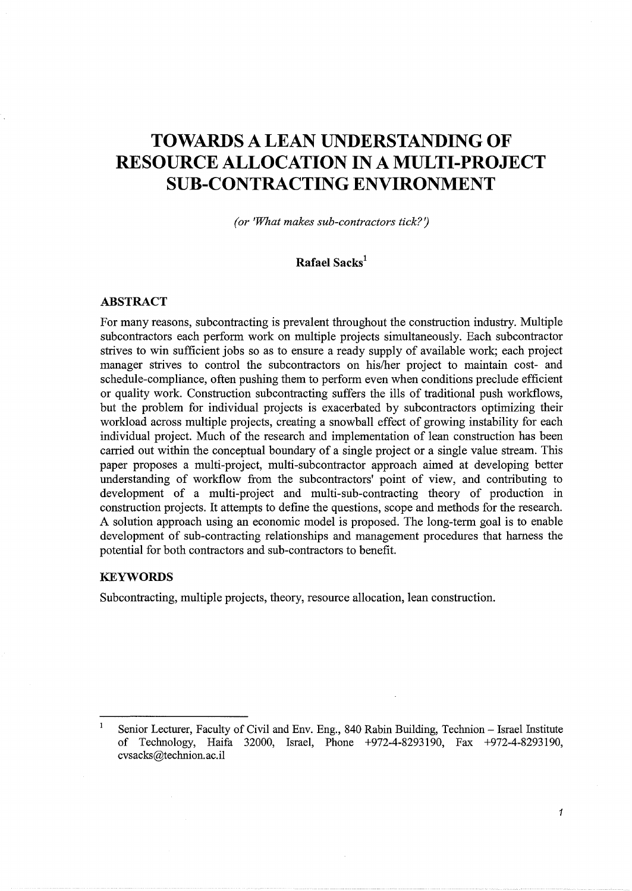# **TOWARDS A LEAN UNDERSTANDING OF RESOURCE ALLOCATION IN A MULTI-PROJECT SUB-CONTRACTING ENVIRONMENT**

*(or 'What makes sub-contractors tick?')* 

# **Rafael Sacks<sup>1</sup>**

#### **ABSTRACT**

For many reasons, subcontracting is prevalent throughout the construction industry. Multiple subcontractors each perform work on multiple projects simultaneously. Each subcontractor strives to win sufficient jobs so as to ensure a ready supply of available work; each project manager strives to control the subcontractors on his/her project to maintain cost- and schedule-compliance, often pushing them to perform even when conditions preclude efficient or quality work. Construction subcontracting suffers the ills of traditional push workflows, but the problem for individual projects is exacerbated by subcontractors optimizing their workload across multiple projects, creating a snowball effect of growing instability for each individual project. Much of the research and implementation of lean construction has been carried out within the conceptual boundary of a single project or a single value stream. This paper proposes a multi-project, multi-subcontractor approach aimed at developing better understanding of workflow from the subcontractors' point of view, and contributing to development of a multi-project and multi-sub-contracting theory of production in construction projects. It attempts to define the questions, scope and methods for the research. A solution approach using an economic model is proposed. The long-term goal is to enable development of sub-contracting relationships and management procedures that harness the potential for both contractors and sub-contractors to benefit.

# **KEYWORDS**

Subcontracting, multiple projects, theory, resource allocation, lean construction.

 $\mathbf 1$ Senior Lecturer, Faculty of Civil and Env. Eng., 840 Rabin Building, Technion - Israel Institute of Technology, Haifa 32000, Israel, Phone +972-4-8293190, Fax +972-4-8293190, cvsacks@technion. ac.il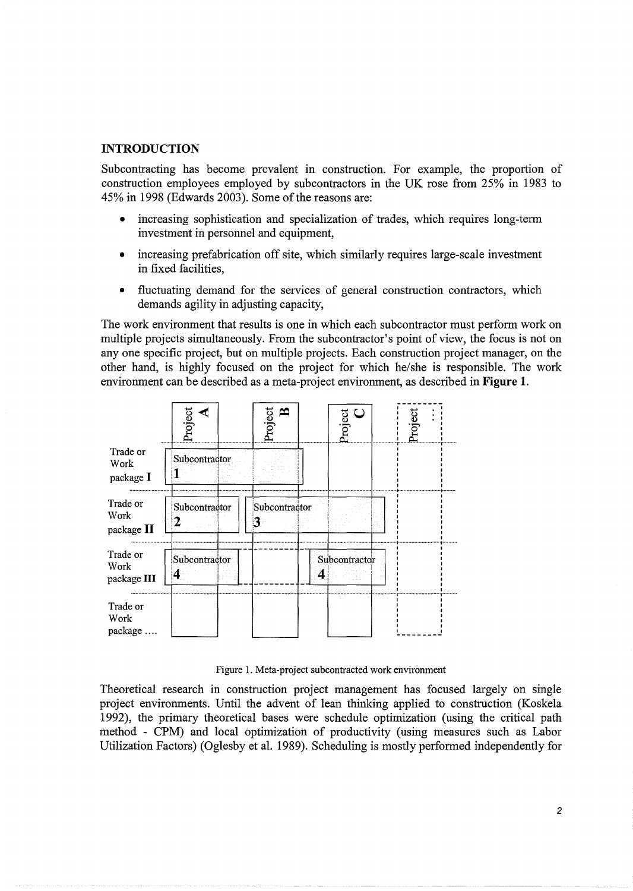# **INTRODUCTION**

Subcontracting has become prevalent in construction. For example, the proportion of construction employees employed by subcontractors in the UK rose from 25% in 1983 to 45% in 1998 (Edwards 2003). Some of the reasons are:

- increasing sophistication and specialization of trades, which requires long-term investment in personnel and equipment,
- increasing prefabrication off site, which similarly requires large-scale investment in fixed facilities.
- fluctuating demand for the services of general construction contractors, which demands agility in adjusting capacity,

The work environment that results is one in which each subcontractor must perform work on multiple projects simultaneously. From the subcontractor's point of view, the focus is not on any one specific project, but on multiple projects. Each construction project manager, on the other hand, is highly focused on the project for which he/she is responsible. The work environment can be described as a meta-project environment, as described in Figure 1.



Figure 1. Meta-project subcontracted work environment

Theoretical research in construction project management has focused largely on single project environments. Until the advent of lean thinking applied to construction (Koskela 1992), the primary theoretical bases were schedule optimization (using the critical path method - CPM) and local optimization of productivity (using measures such as Labor Utilization Factors) (Oglesby et al. 1989). Scheduling is mostly performed independently for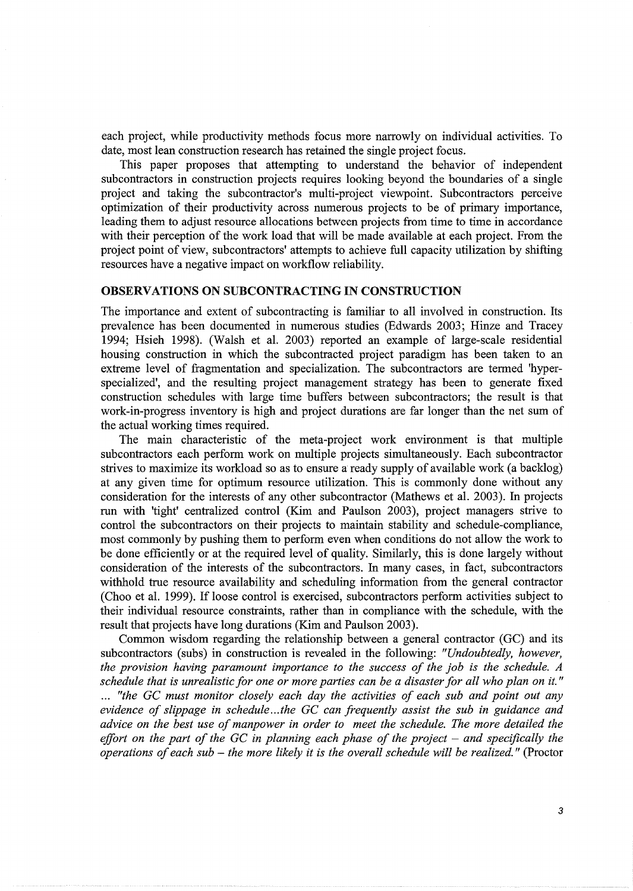each project, while productivity methods focus more narrowly on individual activities. To date, most lean construction research has retained the single project focus.

This paper proposes that attempting to understand the behavior of independent subcontractors in construction projects requires looking beyond the boundaries of a single project and taking the subcontractor's multi-project viewpoint. Subcontractors perceive optimization of their productivity across numerous projects to be of primary importance, leading them to adjust resource allocations between projects from time to time in accordance with their perception of the work load that will be made available at each project. From the project point of view, subcontractors' attempts to achieve full capacity utilization by shifting resources have a negative impact on workflow reliability.

#### **OBSERVATIONS ON SUBCONTRACTING IN CONSTRUCTION**

The importance and extent of subcontracting is familiar to all involved in construction. Its prevalence has been documented in numerous studies (Edwards 2003; Hinze and Tracey 1994; Hsieh 1998). (Walsh et al. 2003) reported an example of large-scale residential housing construction in which the subcontracted project paradigm has been taken to an extreme level of fragmentation and specialization. The subcontractors are termed 'hyperspecialized', and the resulting project management strategy has been to generate fixed construction schedules with large time buffers between subcontractors; the result is that work-in-progress inventory is high and project durations are far longer than the net sum of the actual working times required.

The main characteristic of the meta-project work environment is that multiple subcontractors each perform work on multiple projects simultaneously. Each subcontractor strives to maximize its workload so as to ensure a ready supply of available work (a backlog) at any given time for optimum resource utilization. This is commonly done without any consideration for the interests of any other subcontractor (Mathews et al. 2003). In projects run with 'tight' centralized control (Kim and Paulson 2003), project managers strive to control the subcontractors on their projects to maintain stability and schedule-compliance, most commonly by pushing them to perform even when conditions do not allow the work to be done efficiently or at the required level of quality. Similarly, this is done largely without consideration of the interests of the subcontractors. In many cases, in fact, subcontractors withhold true resource availability and scheduling information from the general contractor (Choo et al. 1999). If loose control is exercised, subcontractors perform activities subject to their individual resource constraints, rather than in compliance with the schedule, with the result that projects have long durations (Kim and Paulson 2003).

Common wisdom regarding the relationship between a general contractor (GC) and its subcontractors (subs) in construction is revealed in the following: *"Undoubtedly, however, the provision having paramount importance to the success of the job is the schedule. A schedule that is unrealistic for one or more parties can be a disaster for all who plan on it."*  ... "the GC must monitor closely each day the activities of each sub and point out any *evidence of slippage in schedule ... the GC can frequently assist the sub in guidance and advice on the best use of manpower in order to meet the schedule. The more detailed the effort on the part of the GC in planning each phase of the project – and specifically the operations of each sub* - *the more likely it is the overall schedule will be realized.* " (Proctor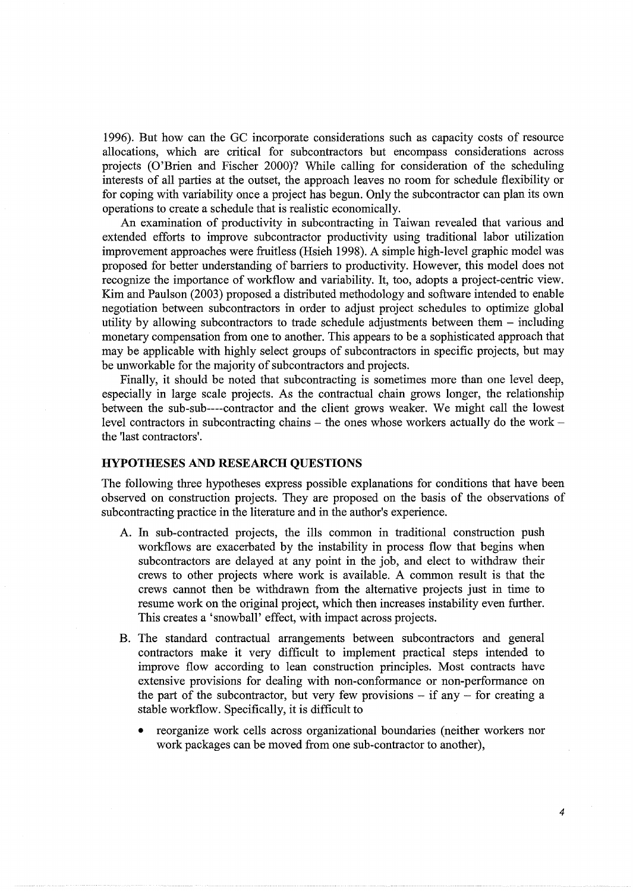1996). But how can the GC incorporate considerations such as capacity costs of resource allocations, which are critical for subcontractors but encompass considerations across projects (O'Brien and Fischer 2000)? While calling for consideration of the scheduling interests of all parties at the outset, the approach leaves no room for schedule flexibility or for coping with variability once a project has begun. Only the subcontractor can plan its own operations to create a schedule that is realistic economically.

An examination of productivity in subcontracting in Taiwan revealed that various and extended efforts to improve subcontractor productivity using traditional labor utilization improvement approaches were fruitless (Hsieh 1998). A simple high-level graphic model was proposed for better understanding of barriers to productivity. However, this model does not recognize the importance of workflow and variability. It, too, adopts a project-centric view. Kim and Paulson (2003) proposed a distributed methodology and software intended to enable negotiation between subcontractors in order to adjust project schedules to optimize global utility by allowing subcontractors to trade schedule adjustments between them - including monetary compensation from one to another. This appears to be a sophisticated approach that may be applicable with highly select groups of subcontractors in specific projects, but may be unworkable for the majority of subcontractors and projects.

Finally, it should be noted that subcontracting is sometimes more than one level deep, especially in large scale projects. As the contractual chain grows longer, the relationship between the sub-sub----contractor and the client grows weaker. We might call the lowest level contractors in subcontracting chains  $-$  the ones whose workers actually do the work  $$ the 'last contractors'.

#### **HYPOTHESES AND RESEARCH QUESTIONS**

The following three hypotheses express possible explanations for conditions that have been observed on construction projects. They are proposed on the basis of the observations of subcontracting practice in the literature and in the author's experience.

- A. In sub-contracted projects, the ills common in traditional construction push workflows are exacerbated by the instability in process flow that begins when subcontractors are delayed at any point in the job, and elect to withdraw their crews to other projects where work is available. A common result is that the crews cannot then be withdrawn from the alternative projects just in time to resume work on the original project, which then increases instability even further. This creates a 'snowball' effect, with impact across projects.
- B. The standard contractual arrangements between subcontractors and general contractors make it very difficult to implement practical steps intended to improve flow according to lean construction principles. Most contracts have extensive provisions for dealing with non-conformance or non-performance on the part of the subcontractor, but very few provisions  $-$  if any  $-$  for creating a stable workflow. Specifically, it is difficult to
	- reorganize work cells across organizational boundaries (neither workers nor work packages can be moved from one sub-contractor to another),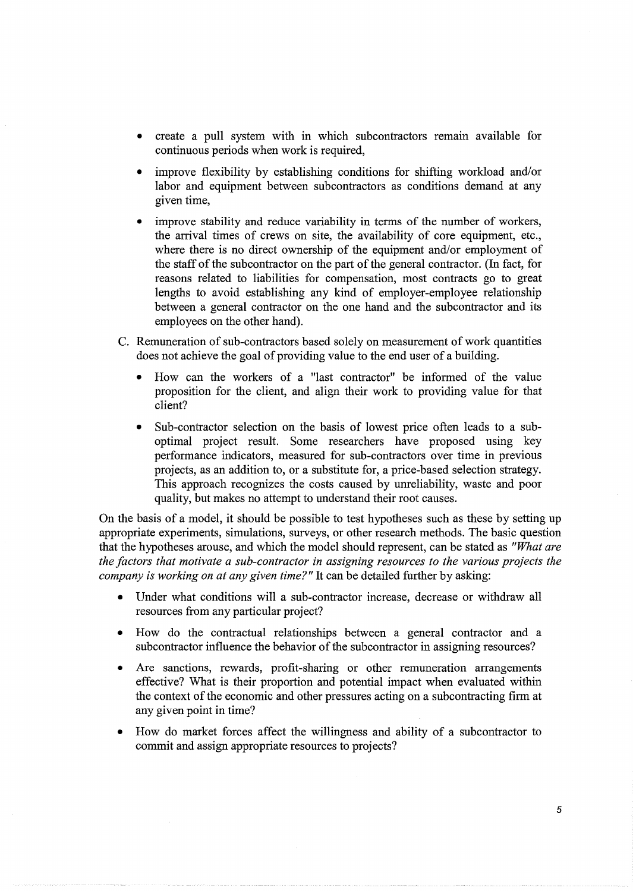- create a pull system with in which subcontractors remain available for continuous periods when work is required,
- improve flexibility by establishing conditions for shifting workload and/or labor and equipment between subcontractors as conditions demand at any given time,
- improve stability and reduce variability in terms of the number of workers, the arrival times of crews on site, the availability of core equipment, etc., where there is no direct ownership of the equipment and/or employment of the staff of the subcontractor on the part of the general contractor. (In fact, for reasons related to liabilities for compensation, most contracts go to great lengths to avoid establishing any kind of employer-employee relationship between a general contractor on the one hand and the subcontractor and its employees on the other hand).
- C. Remuneration of sub-contractors based solely on measurement of work quantities does not achieve the goal of providing value to the end user of a building.
	- How can the workers of a "last contractor" be informed of the value proposition for the client, and align their work to providing value for that client?
	- Sub-contractor selection on the basis of lowest price often leads to a suboptimal project result. Some researchers have proposed using key performance indicators, measured for sub-contractors over time in previous projects, as an addition to, or a substitute for, a price-based selection strategy. This approach recognizes the costs caused by unreliability, waste and poor quality, but makes no attempt to understand their root causes.

On the basis of a model, it should be possible to test hypotheses such as these by setting up appropriate experiments, simulations, surveys, or other research methods. The basic question that the hypotheses arouse, and which the model should represent, can be stated as *"What are the factors that motivate a sub-contractor in assigning resources to the various projects the company is working on at any given time?"* It can be detailed further by asking:

- Under what conditions will a sub-contractor increase, decrease or withdraw all resources from any particular project?
- How do the contractual relationships between a general contractor and a subcontractor influence the behavior of the subcontractor in assigning resources?
- Are sanctions, rewards, profit-sharing or other remuneration arrangements effective? What is their proportion and potential impact when evaluated within the context of the economic and other pressures acting on a subcontracting firm at any given point in time?
- How do market forces affect the willingness and ability of a subcontractor to commit and assign appropriate resources to projects?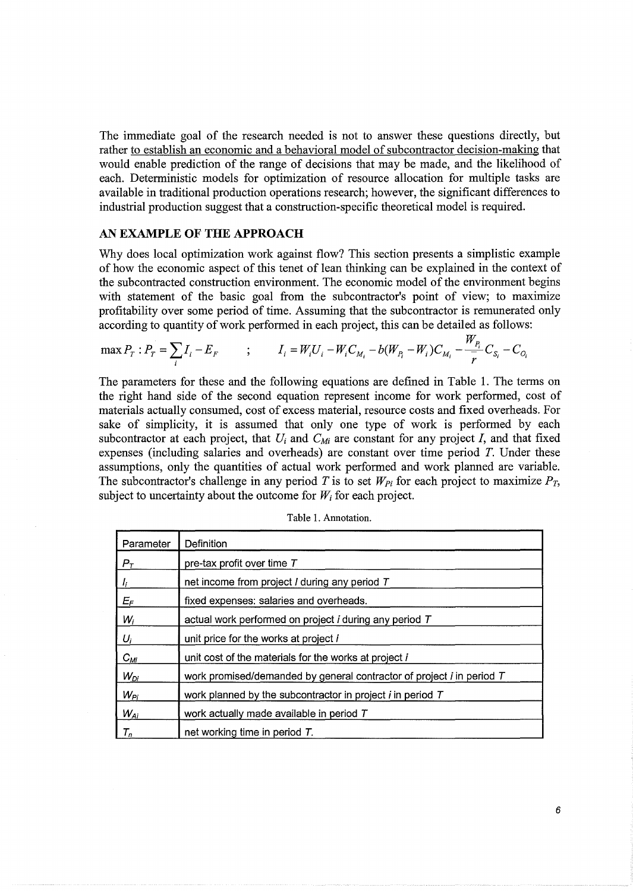The immediate goal of the research needed is not to answer these questions directly, but rather to establish an economic and a behavioral model of subcontractor decision-making that would enable prediction of the range of decisions that may be made, and the likelihood of each. Deterministic models for optimization of resource allocation for multiple tasks are available in traditional production operations research; however, the significant differences to industrial production suggest that a construction-specific theoretical model is required.

#### AN **EXAMPLE OF THE APPROACH**

Why does local optimization work against flow? This section presents a simplistic example of how the economic aspect of this tenet of lean thinking can be explained in the context of the subcontracted construction environment. The economic model of the environment begins with statement of the basic goal from the subcontractor's point of view; to maximize profitability over some period of time. Assuming that the subcontractor is remunerated only according to quantity of work performed in each project, this can be detailed as follows:

$$
\max P_T : P_T = \sum_i I_i - E_F \qquad ; \qquad I_i = W_i U_i - W_i C_{M_i} - b(W_{P_i} - W_i) C_{M_i} - \frac{W_{P_i}}{\overline{r}} C_{S_i} - C_{O_i}
$$

The parameters for these and the following equations are defined in Table 1. The terms on the right hand side of the second equation represent income for work performed, cost of materials actually consumed, cost of excess material, resource costs and fixed overheads. For sake of simplicity, it is assumed that only one type of work is performed by each subcontractor at each project, that  $U_i$  and  $C_M$  are constant for any project *I*, and that fixed expenses (including salaries and overheads) are constant over time period *T.* Under these assumptions, only the quantities of actual work performed and work planned are variable. The subcontractor's challenge in any period T is to set  $W_{Pi}$  for each project to maximize  $P_T$ , subject to uncertainty about the outcome for  $W_i$  for each project.

| Parameter        | Definition                                                            |
|------------------|-----------------------------------------------------------------------|
| $P_T$            | pre-tax profit over time T                                            |
| I <sub>i</sub>   | net income from project / during any period T                         |
| $E_{\mathsf{F}}$ | fixed expenses: salaries and overheads.                               |
| $W_i$            | actual work performed on project <i>i</i> during any period T         |
| $U_i$            | unit price for the works at project i                                 |
| $C_{Mi}$         | unit cost of the materials for the works at project i                 |
| $W_{Di}$         | work promised/demanded by general contractor of project i in period T |
| $W_{Pi}$         | work planned by the subcontractor in project $i$ in period $T$        |
| $W_{Ai}$         | work actually made available in period T                              |
| $T_n$            | net working time in period $T$ .                                      |

|  |  |  |  | Table 1. Annotation. |
|--|--|--|--|----------------------|
|--|--|--|--|----------------------|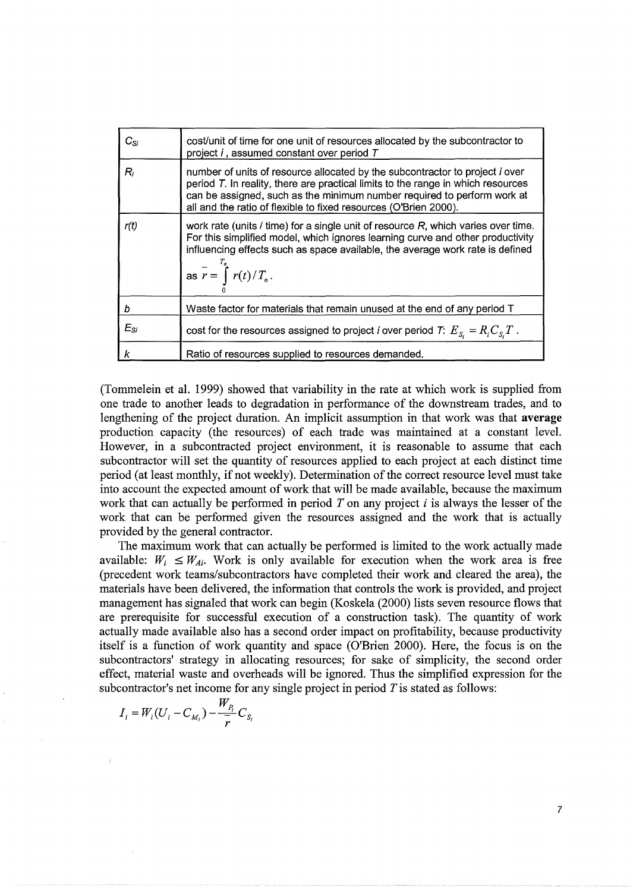| $C_{\rm Si}$ | cost/unit of time for one unit of resources allocated by the subcontractor to<br>project i, assumed constant over period T                                                                                                                                                                                             |
|--------------|------------------------------------------------------------------------------------------------------------------------------------------------------------------------------------------------------------------------------------------------------------------------------------------------------------------------|
| R,           | number of units of resource allocated by the subcontractor to project <i>i</i> over<br>period T. In reality, there are practical limits to the range in which resources<br>can be assigned, such as the minimum number required to perform work at<br>all and the ratio of flexible to fixed resources (O'Brien 2000). |
| r(t)         | work rate (units / time) for a single unit of resource $R$ , which varies over time.<br>For this simplified model, which ignores learning curve and other productivity<br>influencing effects such as space available, the average work rate is defined<br>$\int$ as $r = \int_{2}^{T_n} r(t)/T_n$ .                   |
| b            | Waste factor for materials that remain unused at the end of any period T                                                                                                                                                                                                                                               |
| $E_{Si}$     | cost for the resources assigned to project <i>i</i> over period <i>T</i> : $E_{S_i} = R_i C_{S_i} T$ .                                                                                                                                                                                                                 |
|              | Ratio of resources supplied to resources demanded.                                                                                                                                                                                                                                                                     |

(Tommelein et al. 1999) showed that variability in the rate at which work is supplied from one trade to another leads to degradation in performance of the downstream trades, and to lengthening of the project duration. An implicit assumption in that work was that **average**  production capacity (the resources) of each trade was maintained at a constant level. However, in a subcontracted project environment, it is reasonable to assume that each subcontractor will set the quantity of resources applied to each project at each distinct time period (at least monthly, if not weekly). Determination of the correct resource level must take into account the expected amount of work that will be made available, because the maximum work that can actually be performed in period  $T$  on any project  $i$  is always the lesser of the work that can be performed given the resources assigned and the work that is actually provided by the general contractor.

The maximum work that can actually be performed is limited to the work actually made available:  $W_i \leq W_{Ai}$ . Work is only available for execution when the work area is free (precedent work teams/subcontractors have completed their work and cleared the area), the materials have been delivered, the information that controls the work is provided, and project management has signaled that work can begin (Koskela (2000) lists seven resource flows that are prerequisite for successful execution of a construction task). The quantity of work actually made available also has a second order impact on profitability, because productivity itself is a function of work quantity and space (O'Brien 2000). Here, the focus is on the subcontractors' strategy in allocating resources; for sake of simplicity, the second order effect, material waste and overheads will be ignored. Thus the simplified expression for the subcontractor's net income for any single project in period  $T$  is stated as follows:

$$
I_i = W_i (U_i - C_{M_i}) - \frac{W_{P_i}}{\overline{r}} C_{S_i}
$$

7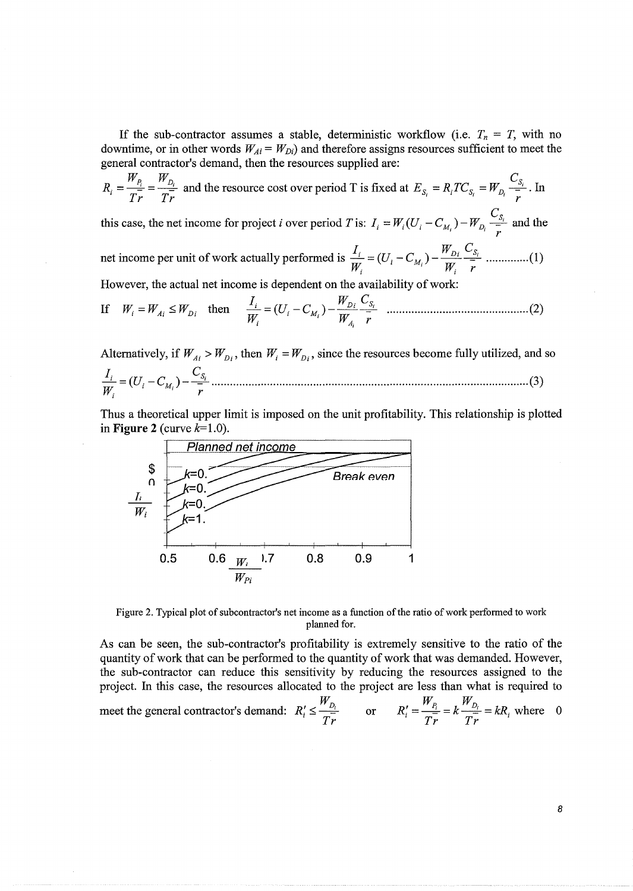If the sub-contractor assumes a stable, deterministic workflow (i.e.  $T_n = T$ , with no downtime, or in other words  $W_{Ai} = W_{Di}$  and therefore assigns resources sufficient to meet the general contractor's demand, then the resources supplied are:

 $R_i = \frac{W_{P_i}}{T_{\nu}} = \frac{W_{D_i}}{T_{\nu}}$  and the resource cost over period T is fixed at  $E_{S_i} = R_i T C_{S_i} = W_{D_i} \frac{C_{S_i}}{T_{\nu}}$ . In

this case, the net income for project *i* over period *T* is:  $I_i = W_i(U_i - C_{M_i}) - W_{D_i} \frac{C_{S_i}}{I}$  and the

However, the actual net income is dependent on the availability of work:

If 
$$
W_i = W_{Ai} \leq W_{Di}
$$
 then  $\frac{I_i}{W_i} = (U_i - C_{M_i}) - \frac{W_{Di}}{W_{A_i}} \frac{C_{S_i}}{r}$  .......

Alternatively, if  $W_{Ai} > W_{Di}$ , then  $W_i = W_{Di}$ , since the resources become fully utilized, and so 

Thus a theoretical upper limit is imposed on the unit profitability. This relationship is plotted in Figure 2 (curve  $k=1.0$ ).



Figure 2. Typical plot of subcontractor's net income as a function of the ratio of work performed to work planned for.

As can be seen, the sub-contractor's profitability is extremely sensitive to the ratio of the quantity of work that can be performed to the quantity of work that was demanded. However, the sub-contractor can reduce this sensitivity by reducing the resources assigned to the project. In this case, the resources allocated to the project are less than what is required to meet the general contractor's demand:  $R'_i \leq \frac{W_{D_i}}{Tr}$  or  $R'_i = \frac{W_{P_i}}{Tr} = k \frac{W_{D_i}}{Tr} = kR_i$  where 0

8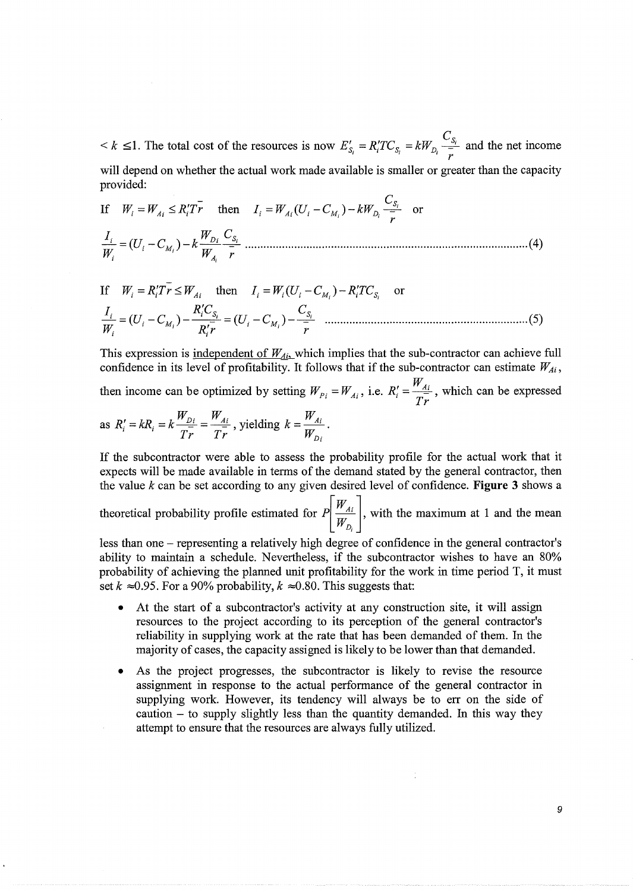*c*   $k \leq 1$ . The total cost of the resources is now  $E'_{S_i} = R_i T C_{S_i} = kW_{D_i} \frac{S_{S_i}}{\overline{r}}$  and the net income will depend on whether the actual work made available is smaller or greater than the capacity provided:

If 
$$
W_i = W_{Ai} \le R_i' T \bar{r}
$$
 then  $I_i = W_{Ai} (U_i - C_{M_i}) - kW_{D_i} \frac{C_{S_i}}{\bar{r}}$  or  
\n
$$
\frac{I_i}{W_i} = (U_i - C_{M_i}) - k \frac{W_{D_i}}{W_{A_i}} \frac{C_{S_i}}{\bar{r}}
$$
.................(4)

If 
$$
W_i = R_i' T r \le W_{Ai}
$$
 then  $I_i = W_i (U_i - C_{M_i}) - R_i' T C_{S_i}$  or  
\n
$$
\frac{I_i}{W_i} = (U_i - C_{M_i}) - \frac{R_i' C_{S_i}}{R_i' r} = (U_i - C_{M_i}) - \frac{C_{S_i}}{r}
$$
.................(5)

This expression is <u>independent of  $W_{Ai}$ </u> which implies that the sub-contractor can achieve full confidence in its level of profitability. It follows that if the sub-contractor can estimate  $W_{Ai}$ , then income can be optimized by setting  $W_{p_i} = W_{Ai}$ , i.e.  $R'_i = \frac{W_{Ai}}{T_{i}r}$ , which can be expressed as  $R'_i = kR_i = k \frac{W_{Di}}{T_i} = \frac{W_{Ai}}{T_i}$ , yielding  $k = \frac{W_{Ai}}{W_i}$ .

If the subcontractor were able to assess the probability profile for the actual work that it expects will be made available in terms of the demand stated by the general contractor, then the value *k* can be set according to any given desired level of confidence. **Figure** 3 shows a

 $Tr \qquad Tr \qquad W_{D_i}$ 

theoretical probability profile estimated for  $P\left[\frac{W_{Ai}}{W_{Di}}\right]$ , with the maximum at 1 and the mean

less than one - representing a relatively high degree of confidence in the general contractor's ability to maintain a schedule. Nevertheless, if the subcontractor wishes to have an 80% probability of achieving the planned unit profitability for the work in time period T, it must set  $k \approx 0.95$ . For a 90% probability,  $k \approx 0.80$ . This suggests that:

- At the start of a subcontractor's activity at any construction site, it will assign resources to the project according to its perception of the general contractor's reliability in supplying work at the rate that has been demanded of them. In the majority of cases, the capacity assigned is likely to be lower than that demanded.
- As the project progresses, the subcontractor is likely to revise the resource assignment in response to the actual performance of the general contractor in supplying work. However, its tendency will always be to err on the side of caution - to supply slightly less than the quantity demanded. In this way they attempt to ensure that the resources are always fully utilized.

9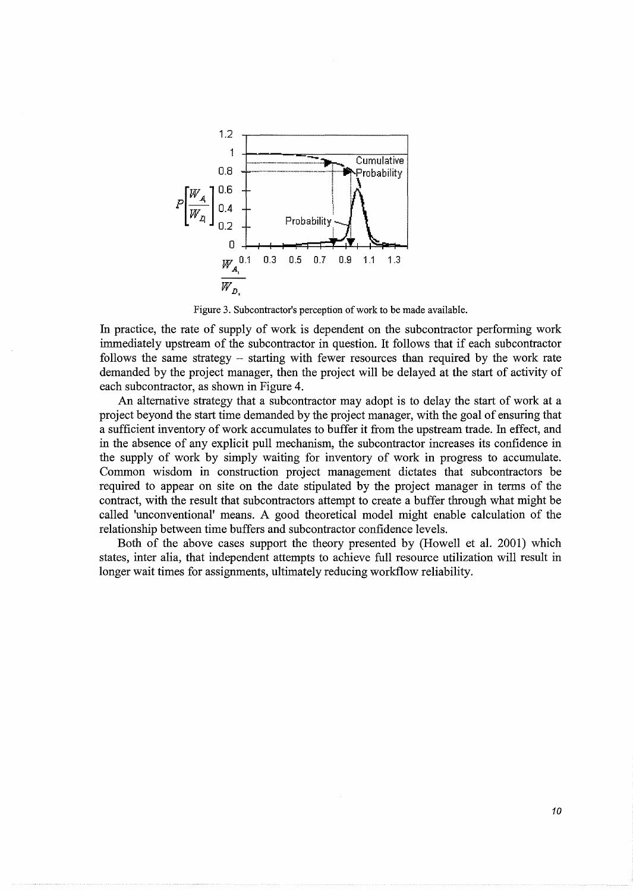

Figure 3. Subcontractor's perception of work to be made available.

In practice, the rate of supply of work is dependent on the subcontractor performing work immediately upstream of the subcontractor in question. It follows that if each subcontractor follows the same strategy – starting with fewer resources than required by the work rate demanded by the project manager, then the project will be delayed at the start of activity of each subcontractor, as shown in Figure 4.

An alternative strategy that a subcontractor may adopt is to delay the start of work at a project beyond the start time demanded by the project manager, with the goal of ensuring that a sufficient inventory of work accumulates to buffer it from the upstream trade. In effect, and in the absence of any explicit pull mechanism, the subcontractor increases its confidence in the supply of work by simply waiting for inventory of work in progress to accumulate. Common wisdom in construction project management dictates that subcontractors be required to appear on site on the date stipulated by the project manager in terms of the contract, with the result that subcontractors attempt to create a buffer through what might be called 'unconventional' means. A good theoretical model might enable calculation of the relationship between time buffers and subcontractor confidence levels.

Both of the above cases support the theory presented by (Howell et al. 2001) which states, inter alia, that independent attempts to achieve full resource utilization will result in longer wait times for assignments, ultimately reducing workflow reliability.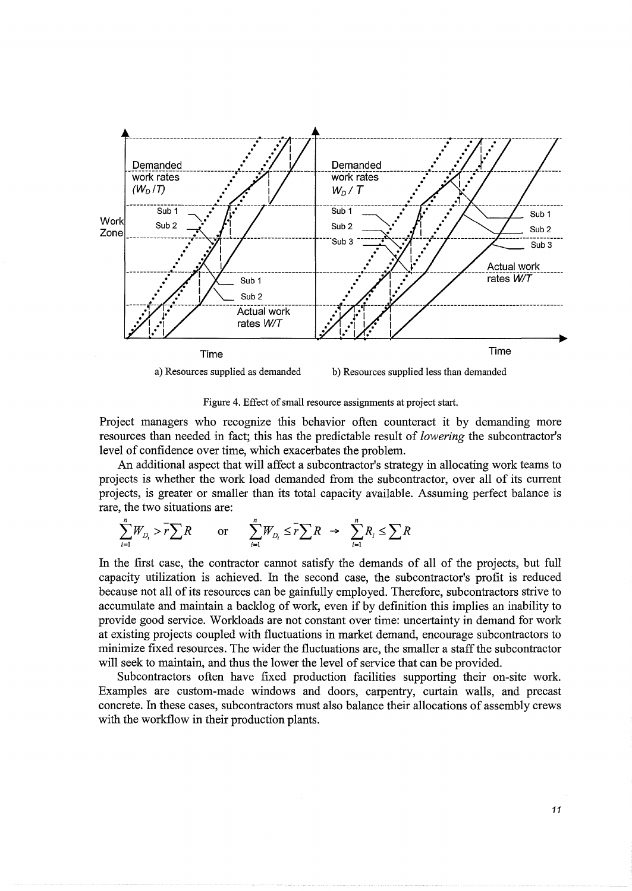

Figure 4. Effect of small resource assignments at project start.

Project managers who recognize this behavior often counteract it by demanding more resources than needed in fact; this has the predictable result of *lowering* the subcontractor's level of confidence over time, which exacerbates the problem.

An additional aspect that will affect a subcontractor's strategy in allocating work teams to projects is whether the work load demanded from the subcontractor, over all of its current projects, is greater or smaller than its total capacity available. Assuming perfect balance is rare, the two situations are:

$$
\sum_{i=1}^{n} W_{D_i} > \overline{r} \sum R \qquad \text{or} \qquad \sum_{i=1}^{n} W_{D_i} \le \overline{r} \sum R \ \to \ \sum_{i=1}^{n} R_i \le \sum R
$$

In the first case, the contractor cannot satisfy the demands of all of the projects, but full capacity utilization is achieved. In the second case, the subcontractor's profit is reduced because not all of its resources can be gainfully employed. Therefore, subcontractors strive to accumulate and maintain a backlog of work, even if by definition this implies an inability to provide good service. Workloads are not constant over time: uncertainty in demand for work at existing projects coupled with fluctuations in market demand, encourage subcontractors to minimize fixed resources. The wider the fluctuations are, the smaller a staff the subcontractor will seek to maintain, and thus the lower the level of service that can be provided.

Subcontractors often have fixed production facilities supporting their on-site work. Examples are custom-made windows and doors, carpentry, curtain walls, and precast concrete. In these cases, subcontractors must also balance their allocations of assembly crews with the workflow in their production plants.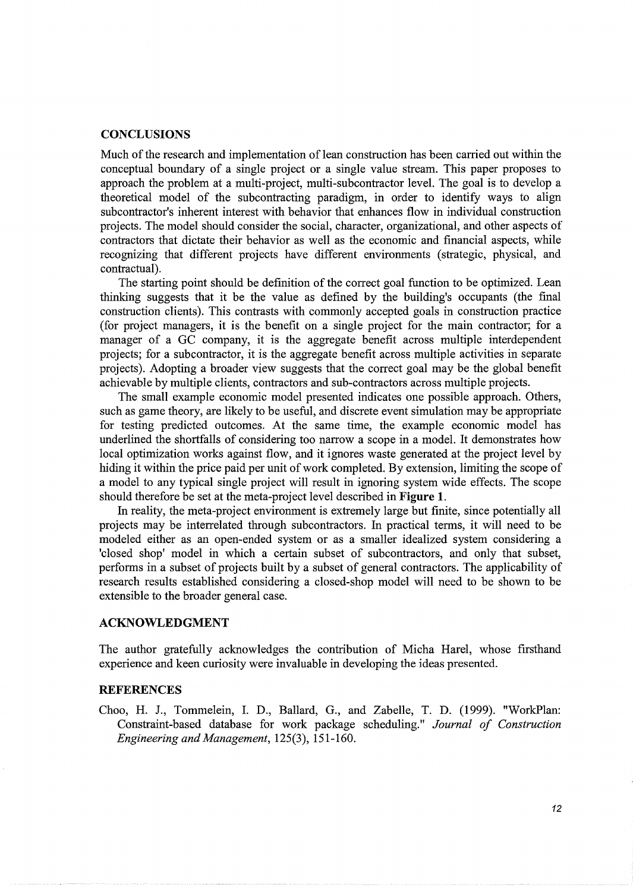#### **CONCLUSIONS**

Much of the research and implementation of lean construction has been carried out within the conceptual boundary of a single project or a single value stream. This paper proposes to approach the problem at a multi-project, multi-subcontractor level. The goal is to develop a theoretical model of the subcontracting paradigm, in order to identify ways to align subcontractor's inherent interest with behavior that enhances flow in individual construction projects. The model should consider the social, character, organizational, and other aspects of contractors that dictate their behavior as well as the economic and financial aspects, while recognizing that different projects have different environments (strategic, physical, and contractual).

The starting point should be definition of the correct goal function to be optimized. Lean thinking suggests that it be the value as defined by the building's occupants (the final construction clients). This contrasts with commonly accepted goals in construction practice (for project managers, it is the benefit on a single project for the main contractor; for a manager of a GC company, it is the aggregate benefit across multiple interdependent projects; for a subcontractor, it is the aggregate benefit across multiple activities in separate projects). Adopting a broader view suggests that the correct goal may be the global benefit achievable by multiple clients, contractors and sub-contractors across multiple projects.

The small example economic model presented indicates one possible approach. Others, such as game theory, are likely to be useful, and discrete event simulation may be appropriate for testing predicted outcomes. At the same time, the example economic model has underlined the shortfalls of considering too narrow a scope in a model. It demonstrates how local optimization works against flow, and it ignores waste generated at the project level by hiding it within the price paid per unit of work completed. By extension, limiting the scope of a model to any typical single project will result in ignoring system wide effects. The scope should therefore be set at the meta-project level described in **Figure 1.** 

In reality, the meta-project environment is extremely large but finite, since potentially all projects may be interrelated through subcontractors. In practical terms, it will need to be modeled either as an open-ended system or as a smaller idealized system considering a 'closed shop' model in which a certain subset of subcontractors, and only that subset, performs in a subset of projects built by a subset of general contractors. The applicability of research results established considering a closed-shop model will need to be shown to be extensible to the broader general case.

# **ACKNOWLEDGMENT**

The author gratefully acknowledges the contribution of Micha Harel, whose firsthand experience and keen curiosity were invaluable in developing the ideas presented.

# **REFERENCES**

Choo, H. J., Tommelein, I. D., Ballard, G., and Zabelle, T. D. (1999). "WorkPlan: Constraint-based database for work package scheduling." *Journal of Construction Engineering and Management,* 125(3), 151-160.